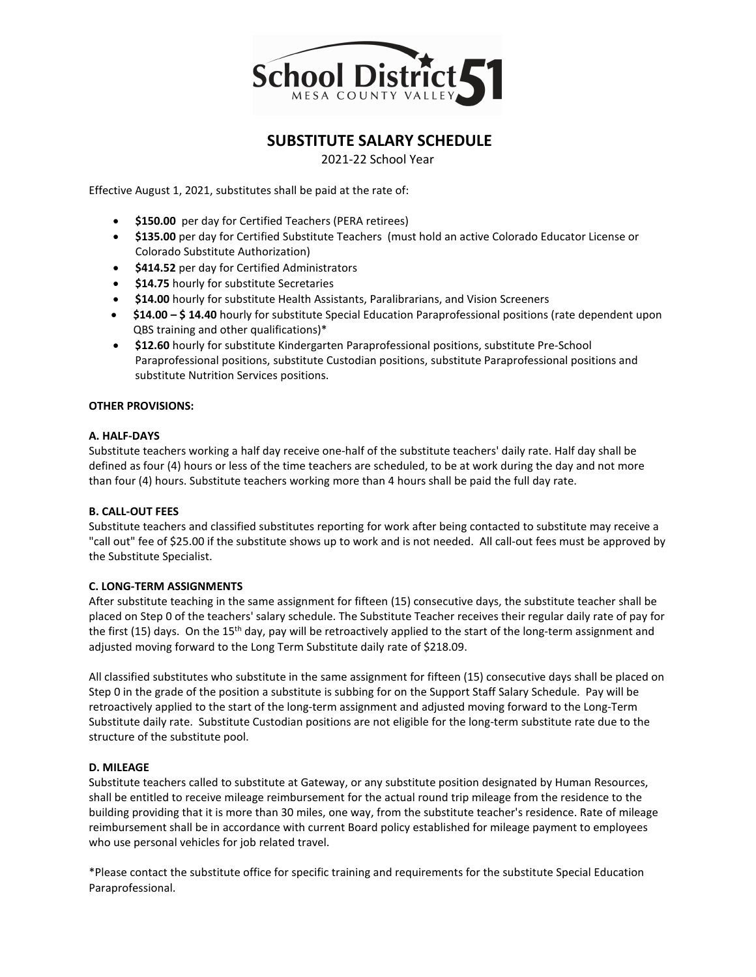

## **SUBSTITUTE SALARY SCHEDULE**

2021-22 School Year

Effective August 1, 2021, substitutes shall be paid at the rate of:

- **\$150.00** per day for Certified Teachers (PERA retirees)
- **\$135.00** per day for Certified Substitute Teachers (must hold an active Colorado Educator License or Colorado Substitute Authorization)
- **\$414.52** per day for Certified Administrators
- **\$14.75** hourly for substitute Secretaries
- **\$14.00** hourly for substitute Health Assistants, Paralibrarians, and Vision Screeners
- **\$14.00 – \$ 14.40** hourly for substitute Special Education Paraprofessional positions (rate dependent upon QBS training and other qualifications)\*
- **\$12.60** hourly for substitute Kindergarten Paraprofessional positions, substitute Pre-School Paraprofessional positions, substitute Custodian positions, substitute Paraprofessional positions and substitute Nutrition Services positions.

#### **OTHER PROVISIONS:**

#### **A. HALF-DAYS**

Substitute teachers working a half day receive one-half of the substitute teachers' daily rate. Half day shall be defined as four (4) hours or less of the time teachers are scheduled, to be at work during the day and not more than four (4) hours. Substitute teachers working more than 4 hours shall be paid the full day rate.

#### **B. CALL-OUT FEES**

Substitute teachers and classified substitutes reporting for work after being contacted to substitute may receive a "call out" fee of \$25.00 if the substitute shows up to work and is not needed. All call-out fees must be approved by the Substitute Specialist.

#### **C. LONG-TERM ASSIGNMENTS**

After substitute teaching in the same assignment for fifteen (15) consecutive days, the substitute teacher shall be placed on Step 0 of the teachers' salary schedule. The Substitute Teacher receives their regular daily rate of pay for the first (15) days. On the 15<sup>th</sup> day, pay will be retroactively applied to the start of the long-term assignment and adjusted moving forward to the Long Term Substitute daily rate of \$218.09.

All classified substitutes who substitute in the same assignment for fifteen (15) consecutive days shall be placed on Step 0 in the grade of the position a substitute is subbing for on the Support Staff Salary Schedule. Pay will be retroactively applied to the start of the long-term assignment and adjusted moving forward to the Long-Term Substitute daily rate. Substitute Custodian positions are not eligible for the long-term substitute rate due to the structure of the substitute pool.

#### **D. MILEAGE**

Substitute teachers called to substitute at Gateway, or any substitute position designated by Human Resources, shall be entitled to receive mileage reimbursement for the actual round trip mileage from the residence to the building providing that it is more than 30 miles, one way, from the substitute teacher's residence. Rate of mileage reimbursement shall be in accordance with current Board policy established for mileage payment to employees who use personal vehicles for job related travel.

\*Please contact the substitute office for specific training and requirements for the substitute Special Education Paraprofessional.